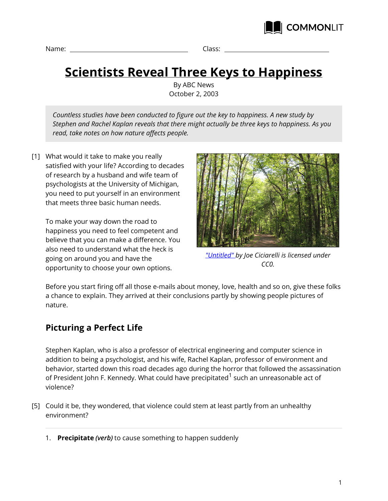

Name: Class:

# **Scientists Reveal Three Keys to Happiness**

By ABC News October 2, 2003

*Countless studies have been conducted to figure out the key to happiness. A new study by Stephen and Rachel Kaplan reveals that there might actually be three keys to happiness. As you read, take notes on how nature affects people.*

What would it take to make you really [1] satisfied with your life? According to decades of research by a husband and wife team of psychologists at the University of Michigan, you need to put yourself in an environment that meets three basic human needs.

To make your way down the road to happiness you need to feel competent and believe that you can make a difference. You also need to understand what the heck is going on around you and have the opportunity to choose your own options.



*["Untitled"](https://unsplash.com/photos/YGiAJ61YHj4) by Joe Ciciarelli is licensed under CC0.*

Before you start firing off all those e-mails about money, love, health and so on, give these folks a chance to explain. They arrived at their conclusions partly by showing people pictures of nature.

## **Picturing a Perfect Life**

Stephen Kaplan, who is also a professor of electrical engineering and computer science in addition to being a psychologist, and his wife, Rachel Kaplan, professor of environment and behavior, started down this road decades ago during the horror that followed the assassination of President John F. Kennedy. What could have precipitated<sup>1</sup> such an unreasonable act of violence?

- Could it be, they wondered, that violence could stem at least partly from an unhealthy [5] environment?
	- 1. **Precipitate** *(verb)* to cause something to happen suddenly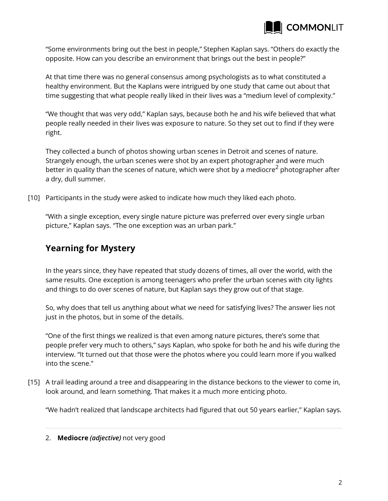

"Some environments bring out the best in people," Stephen Kaplan says. "Others do exactly the opposite. How can you describe an environment that brings out the best in people?"

At that time there was no general consensus among psychologists as to what constituted a healthy environment. But the Kaplans were intrigued by one study that came out about that time suggesting that what people really liked in their lives was a "medium level of complexity."

"We thought that was very odd," Kaplan says, because both he and his wife believed that what people really needed in their lives was exposure to nature. So they set out to find if they were right.

They collected a bunch of photos showing urban scenes in Detroit and scenes of nature. Strangely enough, the urban scenes were shot by an expert photographer and were much better in quality than the scenes of nature, which were shot by a mediocre $^2$  photographer after a dry, dull summer.

[10] Participants in the study were asked to indicate how much they liked each photo.

"With a single exception, every single nature picture was preferred over every single urban picture," Kaplan says. "The one exception was an urban park."

## **Yearning for Mystery**

In the years since, they have repeated that study dozens of times, all over the world, with the same results. One exception is among teenagers who prefer the urban scenes with city lights and things to do over scenes of nature, but Kaplan says they grow out of that stage.

So, why does that tell us anything about what we need for satisfying lives? The answer lies not just in the photos, but in some of the details.

"One of the first things we realized is that even among nature pictures, there's some that people prefer very much to others," says Kaplan, who spoke for both he and his wife during the interview. "It turned out that those were the photos where you could learn more if you walked into the scene."

A trail leading around a tree and disappearing in the distance beckons to the viewer to come in, [15] look around, and learn something. That makes it a much more enticing photo.

"We hadn't realized that landscape architects had figured that out 50 years earlier," Kaplan says.

#### 2. **Mediocre** *(adjective)* not very good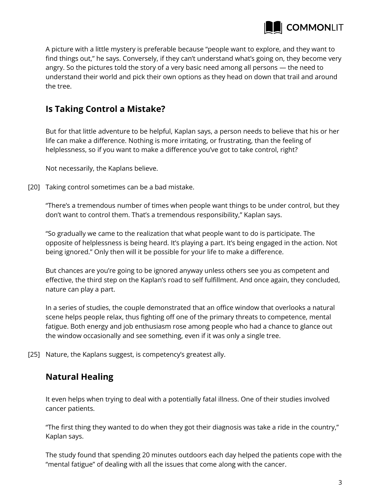

A picture with a little mystery is preferable because "people want to explore, and they want to find things out," he says. Conversely, if they can't understand what's going on, they become very angry. So the pictures told the story of a very basic need among all persons — the need to understand their world and pick their own options as they head on down that trail and around the tree.

### **Is Taking Control a Mistake?**

But for that little adventure to be helpful, Kaplan says, a person needs to believe that his or her life can make a difference. Nothing is more irritating, or frustrating, than the feeling of helplessness, so if you want to make a difference you've got to take control, right?

Not necessarily, the Kaplans believe.

[20] Taking control sometimes can be a bad mistake.

"There's a tremendous number of times when people want things to be under control, but they don't want to control them. That's a tremendous responsibility," Kaplan says.

"So gradually we came to the realization that what people want to do is participate. The opposite of helplessness is being heard. It's playing a part. It's being engaged in the action. Not being ignored." Only then will it be possible for your life to make a difference.

But chances are you're going to be ignored anyway unless others see you as competent and effective, the third step on the Kaplan's road to self fulfillment. And once again, they concluded, nature can play a part.

In a series of studies, the couple demonstrated that an office window that overlooks a natural scene helps people relax, thus fighting off one of the primary threats to competence, mental fatigue. Both energy and job enthusiasm rose among people who had a chance to glance out the window occasionally and see something, even if it was only a single tree.

[25] Nature, the Kaplans suggest, is competency's greatest ally.

#### **Natural Healing**

It even helps when trying to deal with a potentially fatal illness. One of their studies involved cancer patients.

"The first thing they wanted to do when they got their diagnosis was take a ride in the country," Kaplan says.

The study found that spending 20 minutes outdoors each day helped the patients cope with the "mental fatigue" of dealing with all the issues that come along with the cancer.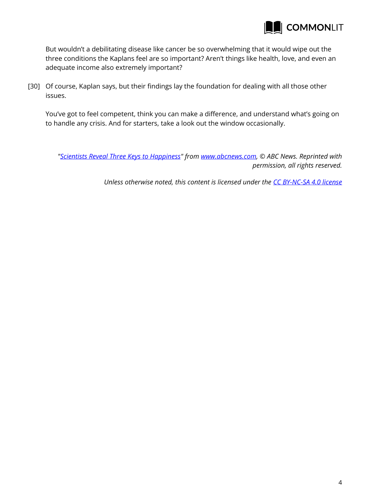

But wouldn't a debilitating disease like cancer be so overwhelming that it would wipe out the three conditions the Kaplans feel are so important? Aren't things like health, love, and even an adequate income also extremely important?

Of course, Kaplan says, but their findings lay the foundation for dealing with all those other [30] issues.

You've got to feel competent, think you can make a difference, and understand what's going on to handle any crisis. And for starters, take a look out the window occasionally.

*["Scientists Reveal Three Keys to Happiness](http://abcnews.go.com/Technology/story?id=99650&page=1)" from [www.abcnews.com,](http://www.abcnews.com/) © ABC News. Reprinted with permission, all rights reserved.*

*Unless otherwise noted, this content is licensed under the [CC BY-NC-SA 4.0 license](https://creativecommons.org/licenses/by-nc-sa/4.0/)*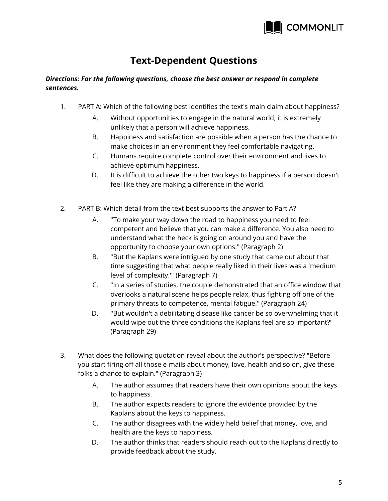

# **Text-Dependent Questions**

#### *Directions: For the following questions, choose the best answer or respond in complete sentences.*

- 1. PART A: Which of the following best identifies the text's main claim about happiness?
	- A. Without opportunities to engage in the natural world, it is extremely unlikely that a person will achieve happiness.
	- B. Happiness and satisfaction are possible when a person has the chance to make choices in an environment they feel comfortable navigating.
	- C. Humans require complete control over their environment and lives to achieve optimum happiness.
	- D. It is difficult to achieve the other two keys to happiness if a person doesn't feel like they are making a difference in the world.
- 2. PART B: Which detail from the text best supports the answer to Part A?
	- A. "To make your way down the road to happiness you need to feel competent and believe that you can make a difference. You also need to understand what the heck is going on around you and have the opportunity to choose your own options." (Paragraph 2)
	- B. "But the Kaplans were intrigued by one study that came out about that time suggesting that what people really liked in their lives was a 'medium level of complexity.'" (Paragraph 7)
	- C. "In a series of studies, the couple demonstrated that an office window that overlooks a natural scene helps people relax, thus fighting off one of the primary threats to competence, mental fatigue." (Paragraph 24)
	- D. "But wouldn't a debilitating disease like cancer be so overwhelming that it would wipe out the three conditions the Kaplans feel are so important?" (Paragraph 29)
- 3. What does the following quotation reveal about the author's perspective? "Before you start firing off all those e-mails about money, love, health and so on, give these folks a chance to explain." (Paragraph 3)
	- A. The author assumes that readers have their own opinions about the keys to happiness.
	- B. The author expects readers to ignore the evidence provided by the Kaplans about the keys to happiness.
	- C. The author disagrees with the widely held belief that money, love, and health are the keys to happiness.
	- D. The author thinks that readers should reach out to the Kaplans directly to provide feedback about the study.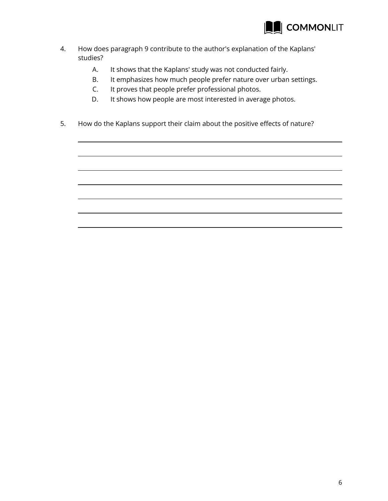

- 4. How does paragraph 9 contribute to the author's explanation of the Kaplans' studies?
	- A. It shows that the Kaplans' study was not conducted fairly.
	- B. It emphasizes how much people prefer nature over urban settings.
	- C. It proves that people prefer professional photos.
	- D. It shows how people are most interested in average photos.
- 5. How do the Kaplans support their claim about the positive effects of nature?